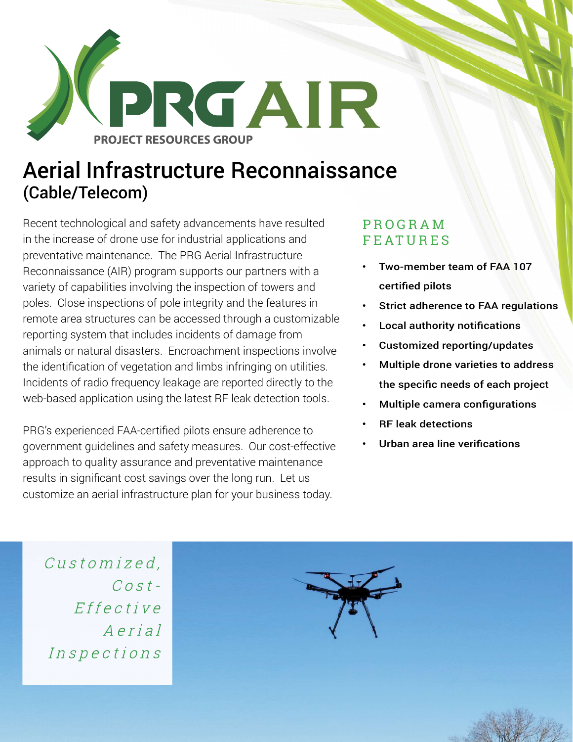

# Aerial Infrastructure Reconnaissance (Cable/Telecom)

Recent technological and safety advancements have resulted in the increase of drone use for industrial applications and preventative maintenance. The PRG Aerial Infrastructure Reconnaissance (AIR) program supports our partners with a variety of capabilities involving the inspection of towers and poles. Close inspections of pole integrity and the features in remote area structures can be accessed through a customizable reporting system that includes incidents of damage from animals or natural disasters. Encroachment inspections involve the identification of vegetation and limbs infringing on utilities. Incidents of radio frequency leakage are reported directly to the web-based application using the latest RF leak detection tools.

PRG's experienced FAA-certified pilots ensure adherence to government guidelines and safety measures. Our cost-effective approach to quality assurance and preventative maintenance results in significant cost savings over the long run. Let us customize an aerial infrastructure plan for your business today.

#### P R O G R A M **FEATURES**

- Two-member team of FAA 107 certified pilots
- Strict adherence to FAA regulations
- Local authority notifications
- Customized reporting/updates
- Multiple drone varieties to address the specific needs of each project
- **Multiple camera configurations**
- RF leak detections
- Urban area line verifications

Customized.  $Cost Effectective$  $Aerial$ Inspections